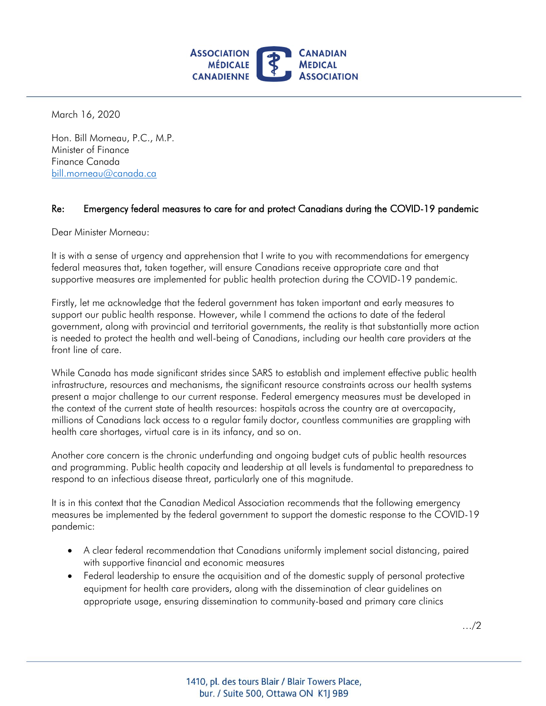

March 16, 2020

 Hon. Bill Morneau, P.C., M.P.  $bill.morneau@canada.ca$ Minister of Finance Finance Canada

## bill.morneau@canada.ca<br>Re: Emergency federal measures to care for and protect Canadians during the COVID-19 pandemic

Dear Minister Morneau:

 It is with a sense of urgency and apprehension that I write to you with recommendations for emergency federal measures that, taken together, will ensure Canadians receive appropriate care and that supportive measures are implemented for public health protection during the COVID-19 pandemic.

 Firstly, let me acknowledge that the federal government has taken important and early measures to support our public health response. However, while I commend the actions to date of the federal government, along with provincial and territorial governments, the reality is that substantially more action is needed to protect the health and well-being of Canadians, including our health care providers at the front line of care.

 While Canada has made significant strides since SARS to establish and implement effective public health infrastructure, resources and mechanisms, the significant resource constraints across our health systems present a major challenge to our current response. Federal emergency measures must be developed in the context of the current state of health resources: hospitals across the country are at overcapacity, millions of Canadians lack access to a regular family doctor, countless communities are grappling with health care shortages, virtual care is in its infancy, and so on.

 Another core concern is the chronic underfunding and ongoing budget cuts of public health resources and programming. Public health capacity and leadership at all levels is fundamental to preparedness to respond to an infectious disease threat, particularly one of this magnitude.

 It is in this context that the Canadian Medical Association recommends that the following emergency measures be implemented by the federal government to support the domestic response to the COVID-19 pandemic:

- • A clear federal recommendation that Canadians uniformly implement social distancing, paired with supportive financial and economic measures
- • Federal leadership to ensure the acquisition and of the domestic supply of personal protective equipment for health care providers, along with the dissemination of clear guidelines on appropriate usage, ensuring dissemination to community-based and primary care clinics

…/2